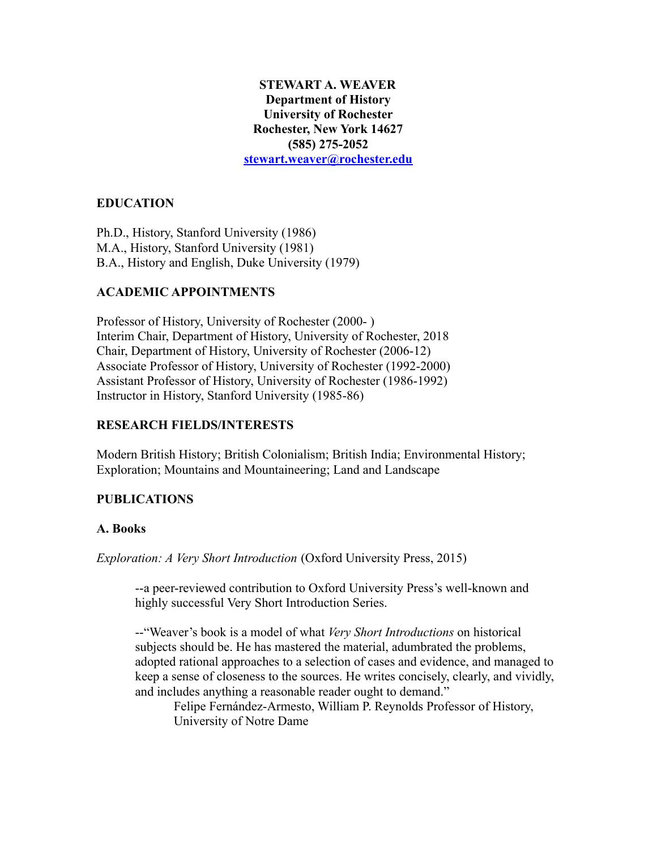### **STEWART A. WEAVER Department of History University of Rochester Rochester, New York 14627 (585) 275-2052 [stewart.weaver@rochester.edu](mailto:stewart.weaver@rochester.edu)**

# **EDUCATION**

Ph.D., History, Stanford University (1986) M.A., History, Stanford University (1981) B.A., History and English, Duke University (1979)

# **ACADEMIC APPOINTMENTS**

Professor of History, University of Rochester (2000- ) Interim Chair, Department of History, University of Rochester, 2018 Chair, Department of History, University of Rochester (2006-12) Associate Professor of History, University of Rochester (1992-2000) Assistant Professor of History, University of Rochester (1986-1992) Instructor in History, Stanford University (1985-86)

# **RESEARCH FIELDS/INTERESTS**

Modern British History; British Colonialism; British India; Environmental History; Exploration; Mountains and Mountaineering; Land and Landscape

## **PUBLICATIONS**

## **A. Books**

*Exploration: A Very Short Introduction* (Oxford University Press, 2015)

--a peer-reviewed contribution to Oxford University Press's well-known and highly successful Very Short Introduction Series.

--"Weaver's book is a model of what *Very Short Introductions* on historical subjects should be. He has mastered the material, adumbrated the problems, adopted rational approaches to a selection of cases and evidence, and managed to keep a sense of closeness to the sources. He writes concisely, clearly, and vividly, and includes anything a reasonable reader ought to demand."

Felipe Fernández-Armesto, William P. Reynolds Professor of History, University of Notre Dame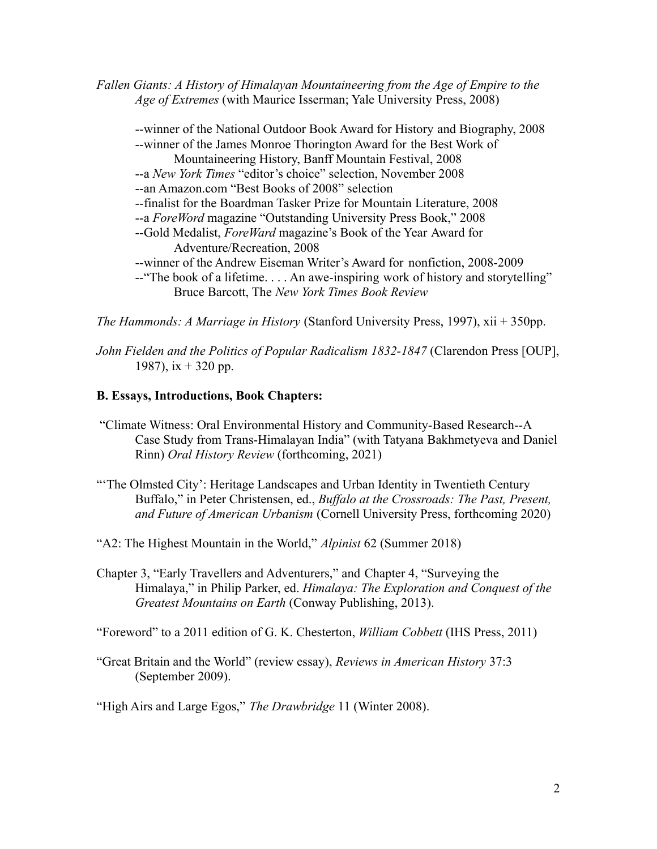*Fallen Giants: A History of Himalayan Mountaineering from the Age of Empire to the Age of Extremes* (with Maurice Isserman; Yale University Press, 2008)

--winner of the National Outdoor Book Award for History and Biography, 2008 --winner of the James Monroe Thorington Award for the Best Work of Mountaineering History, Banff Mountain Festival, 2008 --a *New York Times* "editor's choice" selection, November 2008 --an Amazon.com "Best Books of 2008" selection --finalist for the Boardman Tasker Prize for Mountain Literature, 2008 --a *ForeWord* magazine "Outstanding University Press Book," 2008 --Gold Medalist, *ForeWard* magazine's Book of the Year Award for Adventure/Recreation, 2008 --winner of the Andrew Eiseman Writer's Award for nonfiction, 2008-2009 --"The book of a lifetime. . . . An awe-inspiring work of history and storytelling" Bruce Barcott, The *New York Times Book Review*

*The Hammonds: A Marriage in History* (Stanford University Press, 1997), xii + 350pp.

*John Fielden and the Politics of Popular Radicalism 1832-1847* (Clarendon Press [OUP], 1987),  $ix + 320$  pp.

#### **B. Essays, Introductions, Book Chapters:**

- "Climate Witness: Oral Environmental History and Community-Based Research--A Case Study from Trans-Himalayan India" (with Tatyana Bakhmetyeva and Daniel Rinn) *Oral History Review* (forthcoming, 2021)
- "The Olmsted City': Heritage Landscapes and Urban Identity in Twentieth Century Buffalo," in Peter Christensen, ed., *Buffalo at the Crossroads: The Past, Present, and Future of American Urbanism* (Cornell University Press, forthcoming 2020)
- "A2: The Highest Mountain in the World," *Alpinist* 62 (Summer 2018)
- Chapter 3, "Early Travellers and Adventurers," and Chapter 4, "Surveying the Himalaya," in Philip Parker, ed. *Himalaya: The Exploration and Conquest of the Greatest Mountains on Earth* (Conway Publishing, 2013).

"Foreword" to a 2011 edition of G. K. Chesterton, *William Cobbett* (IHS Press, 2011)

"Great Britain and the World" (review essay), *Reviews in American History* 37:3 (September 2009).

"High Airs and Large Egos," *The Drawbridge* 11 (Winter 2008).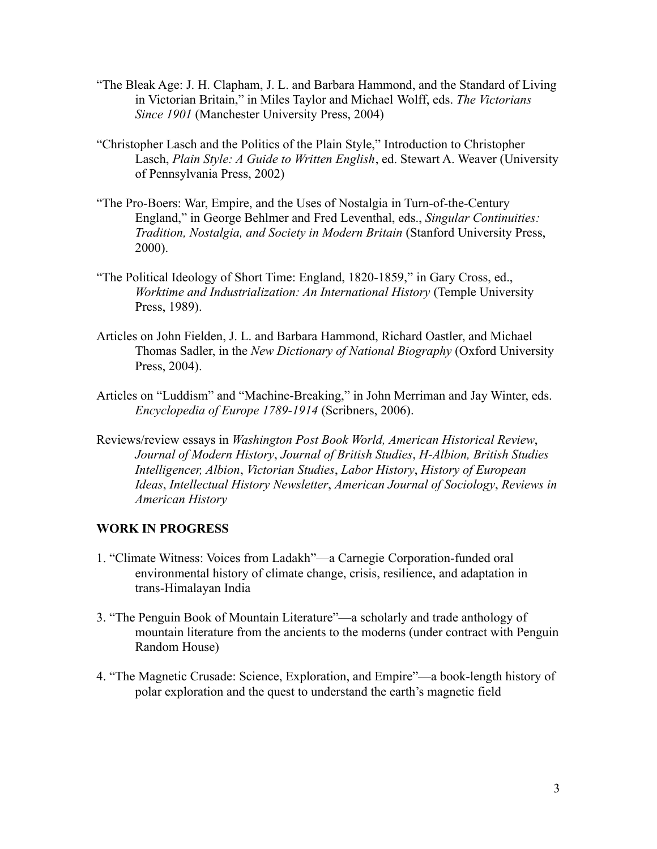- "The Bleak Age: J. H. Clapham, J. L. and Barbara Hammond, and the Standard of Living in Victorian Britain," in Miles Taylor and Michael Wolff, eds. *The Victorians Since 1901* (Manchester University Press, 2004)
- "Christopher Lasch and the Politics of the Plain Style," Introduction to Christopher Lasch, *Plain Style: A Guide to Written English*, ed. Stewart A. Weaver (University of Pennsylvania Press, 2002)
- "The Pro-Boers: War, Empire, and the Uses of Nostalgia in Turn-of-the-Century England," in George Behlmer and Fred Leventhal, eds., *Singular Continuities: Tradition, Nostalgia, and Society in Modern Britain* (Stanford University Press, 2000).
- "The Political Ideology of Short Time: England, 1820-1859," in Gary Cross, ed., *Worktime and Industrialization: An International History* (Temple University Press, 1989).
- Articles on John Fielden, J. L. and Barbara Hammond, Richard Oastler, and Michael Thomas Sadler, in the *New Dictionary of National Biography* (Oxford University Press, 2004).
- Articles on "Luddism" and "Machine-Breaking," in John Merriman and Jay Winter, eds. *Encyclopedia of Europe 1789-1914* (Scribners, 2006).
- Reviews/review essays in *Washington Post Book World, American Historical Review*, *Journal of Modern History*, *Journal of British Studies*, *H-Albion, British Studies Intelligencer, Albion*, *Victorian Studies*, *Labor History*, *History of European Ideas*, *Intellectual History Newsletter*, *American Journal of Sociology*, *Reviews in American History*

### **WORK IN PROGRESS**

- 1. "Climate Witness: Voices from Ladakh"—a Carnegie Corporation-funded oral environmental history of climate change, crisis, resilience, and adaptation in trans-Himalayan India
- 3. "The Penguin Book of Mountain Literature"—a scholarly and trade anthology of mountain literature from the ancients to the moderns (under contract with Penguin Random House)
- 4. "The Magnetic Crusade: Science, Exploration, and Empire"—a book-length history of polar exploration and the quest to understand the earth's magnetic field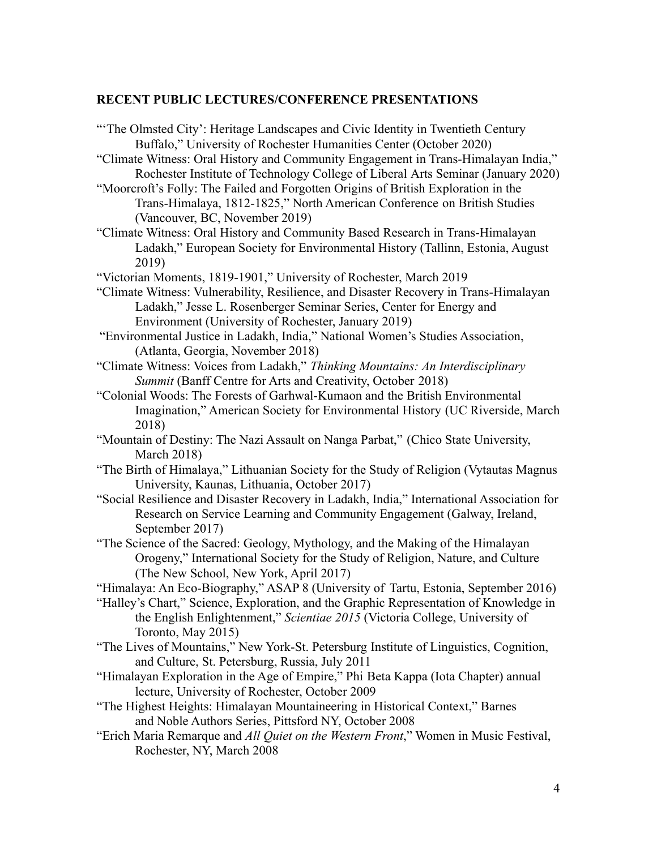#### **RECENT PUBLIC LECTURES/CONFERENCE PRESENTATIONS**

"The Olmsted City': Heritage Landscapes and Civic Identity in Twentieth Century Buffalo," University of Rochester Humanities Center (October 2020) "Climate Witness: Oral History and Community Engagement in Trans-Himalayan India," Rochester Institute of Technology College of Liberal Arts Seminar (January 2020) "Moorcroft's Folly: The Failed and Forgotten Origins of British Exploration in the Trans-Himalaya, 1812-1825," North American Conference on British Studies (Vancouver, BC, November 2019) "Climate Witness: Oral History and Community Based Research in Trans-Himalayan Ladakh," European Society for Environmental History (Tallinn, Estonia, August 2019) "Victorian Moments, 1819-1901," University of Rochester, March 2019 "Climate Witness: Vulnerability, Resilience, and Disaster Recovery in Trans-Himalayan Ladakh," Jesse L. Rosenberger Seminar Series, Center for Energy and Environment (University of Rochester, January 2019) "Environmental Justice in Ladakh, India," National Women's Studies Association, (Atlanta, Georgia, November 2018) "Climate Witness: Voices from Ladakh," *Thinking Mountains: An Interdisciplinary Summit* (Banff Centre for Arts and Creativity, October 2018) "Colonial Woods: The Forests of Garhwal-Kumaon and the British Environmental Imagination," American Society for Environmental History (UC Riverside, March 2018) "Mountain of Destiny: The Nazi Assault on Nanga Parbat," (Chico State University, March 2018)

"The Birth of Himalaya," Lithuanian Society for the Study of Religion (Vytautas Magnus University, Kaunas, Lithuania, October 2017)

"Social Resilience and Disaster Recovery in Ladakh, India," International Association for Research on Service Learning and Community Engagement (Galway, Ireland, September 2017)

"The Science of the Sacred: Geology, Mythology, and the Making of the Himalayan Orogeny," International Society for the Study of Religion, Nature, and Culture (The New School, New York, April 2017)

"Himalaya: An Eco-Biography," ASAP 8 (University of Tartu, Estonia, September 2016)

"Halley's Chart," Science, Exploration, and the Graphic Representation of Knowledge in the English Enlightenment," *Scientiae 2015* (Victoria College, University of Toronto, May 2015)

"The Lives of Mountains," New York-St. Petersburg Institute of Linguistics, Cognition, and Culture, St. Petersburg, Russia, July 2011

"Himalayan Exploration in the Age of Empire," Phi Beta Kappa (Iota Chapter) annual lecture, University of Rochester, October 2009

"The Highest Heights: Himalayan Mountaineering in Historical Context," Barnes and Noble Authors Series, Pittsford NY, October 2008

"Erich Maria Remarque and *All Quiet on the Western Front*," Women in Music Festival, Rochester, NY, March 2008